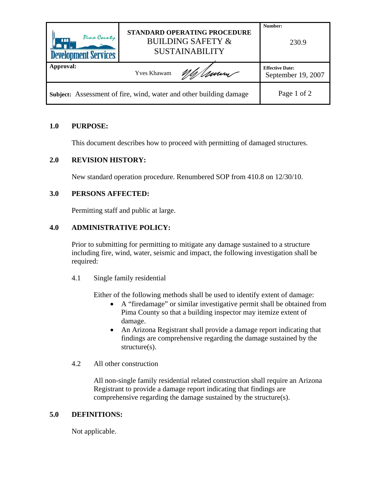| Pima County<br><b>AAA</b><br><b>Development Services</b>           | STANDARD OPERATING PROCEDURE<br><b>BUILDING SAFETY &amp;</b><br><b>SUSTAINABILITY</b> | Number:<br>230.9                             |
|--------------------------------------------------------------------|---------------------------------------------------------------------------------------|----------------------------------------------|
| Approval:                                                          | Umm<br><b>Yves Khawam</b>                                                             | <b>Effective Date:</b><br>September 19, 2007 |
| Subject: Assessment of fire, wind, water and other building damage |                                                                                       | Page 1 of 2                                  |

## **1.0 PURPOSE:**

This document describes how to proceed with permitting of damaged structures.

### **2.0 REVISION HISTORY:**

New standard operation procedure. Renumbered SOP from 410.8 on 12/30/10.

### **3.0 PERSONS AFFECTED:**

Permitting staff and public at large.

## **4.0 ADMINISTRATIVE POLICY:**

Prior to submitting for permitting to mitigate any damage sustained to a structure including fire, wind, water, seismic and impact, the following investigation shall be required:

4.1 Single family residential

Either of the following methods shall be used to identify extent of damage:

- A "firedamage" or similar investigative permit shall be obtained from Pima County so that a building inspector may itemize extent of damage.
- An Arizona Registrant shall provide a damage report indicating that findings are comprehensive regarding the damage sustained by the structure(s).
- 4.2 All other construction

All non-single family residential related construction shall require an Arizona Registrant to provide a damage report indicating that findings are comprehensive regarding the damage sustained by the structure(s).

#### **5.0 DEFINITIONS:**

Not applicable.